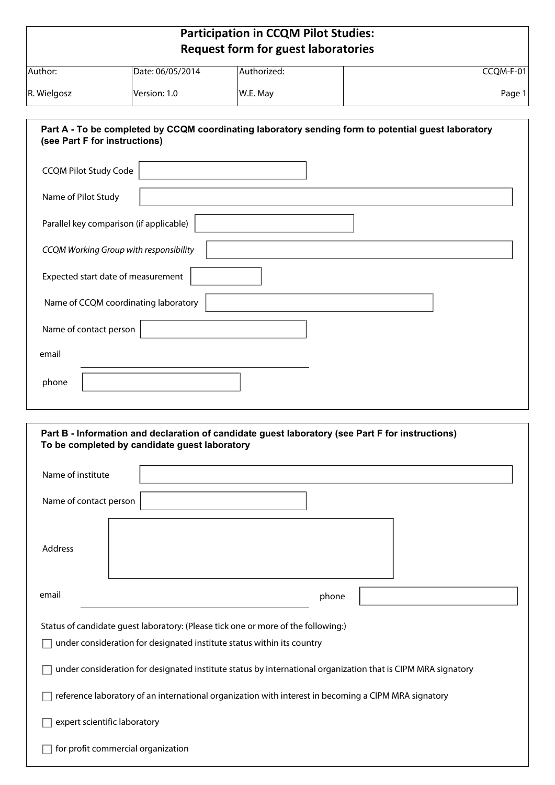## **Participation in CCQM Pilot Studies: Request form for guest laboratories**

| Author:     | Date: 06/05/2014 | Authorized: | CCQM-F-01 |
|-------------|------------------|-------------|-----------|
|             |                  |             |           |
| R. Wielgosz | lVersion: 1.0    | W.E. May    | Page 1    |
|             |                  |             |           |

| Part A - To be completed by CCQM coordinating laboratory sending form to potential guest laboratory<br>(see Part F for instructions) |
|--------------------------------------------------------------------------------------------------------------------------------------|
| <b>CCQM Pilot Study Code</b>                                                                                                         |
| Name of Pilot Study                                                                                                                  |
| Parallel key comparison (if applicable)                                                                                              |
| CCQM Working Group with responsibility                                                                                               |
| Expected start date of measurement                                                                                                   |
| Name of CCQM coordinating laboratory                                                                                                 |
| Name of contact person                                                                                                               |
| email                                                                                                                                |
| phone                                                                                                                                |
|                                                                                                                                      |

| Part B - Information and declaration of candidate guest laboratory (see Part F for instructions)<br>To be completed by candidate guest laboratory           |       |
|-------------------------------------------------------------------------------------------------------------------------------------------------------------|-------|
| Name of institute                                                                                                                                           |       |
| Name of contact person                                                                                                                                      |       |
| Address                                                                                                                                                     |       |
| email                                                                                                                                                       | phone |
| Status of candidate quest laboratory: (Please tick one or more of the following:)<br>under consideration for designated institute status within its country |       |
| under consideration for designated institute status by international organization that is CIPM MRA signatory                                                |       |
| reference laboratory of an international organization with interest in becoming a CIPM MRA signatory                                                        |       |
| expert scientific laboratory                                                                                                                                |       |
| for profit commercial organization                                                                                                                          |       |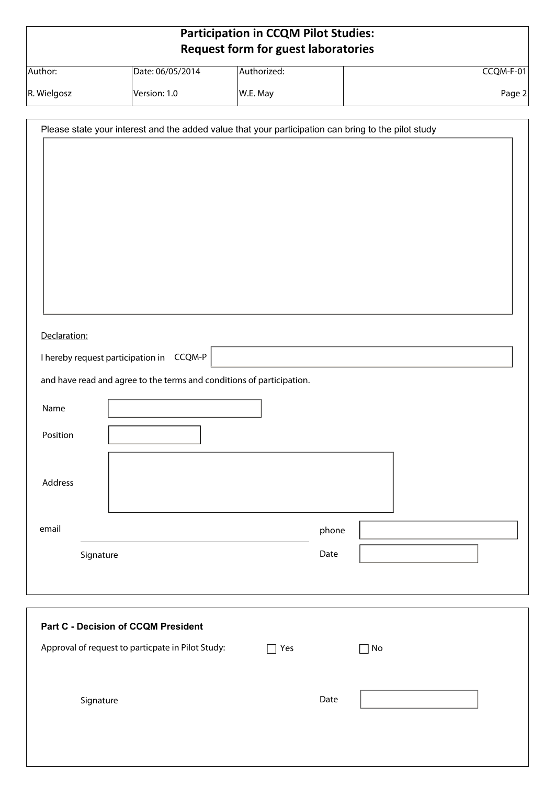| <b>Participation in CCQM Pilot Studies:</b> |  |
|---------------------------------------------|--|
| <b>Request form for guest laboratories</b>  |  |

| Author:     | Date: 06/05/2014 | Authorized: | CCQM-F-01 |
|-------------|------------------|-------------|-----------|
| R. Wielgosz | Version: 1.0     | W.E. May    | Page 2    |

| Please state your interest and the added value that your participation can bring to the pilot study |       |  |  |  |
|-----------------------------------------------------------------------------------------------------|-------|--|--|--|
|                                                                                                     |       |  |  |  |
|                                                                                                     |       |  |  |  |
|                                                                                                     |       |  |  |  |
|                                                                                                     |       |  |  |  |
|                                                                                                     |       |  |  |  |
|                                                                                                     |       |  |  |  |
|                                                                                                     |       |  |  |  |
|                                                                                                     |       |  |  |  |
|                                                                                                     |       |  |  |  |
| Declaration:                                                                                        |       |  |  |  |
| I hereby request participation in CCQM-P                                                            |       |  |  |  |
| and have read and agree to the terms and conditions of participation.                               |       |  |  |  |
|                                                                                                     |       |  |  |  |
| Name                                                                                                |       |  |  |  |
| Position                                                                                            |       |  |  |  |
|                                                                                                     |       |  |  |  |
|                                                                                                     |       |  |  |  |
| Address                                                                                             |       |  |  |  |
|                                                                                                     |       |  |  |  |
| email                                                                                               | phone |  |  |  |
| Signature                                                                                           | Date  |  |  |  |
|                                                                                                     |       |  |  |  |
|                                                                                                     |       |  |  |  |
|                                                                                                     |       |  |  |  |

| <b>Part C - Decision of CCQM President</b>        |     |      |    |
|---------------------------------------------------|-----|------|----|
| Approval of request to particpate in Pilot Study: | Yes |      | No |
| Signature                                         |     | Date |    |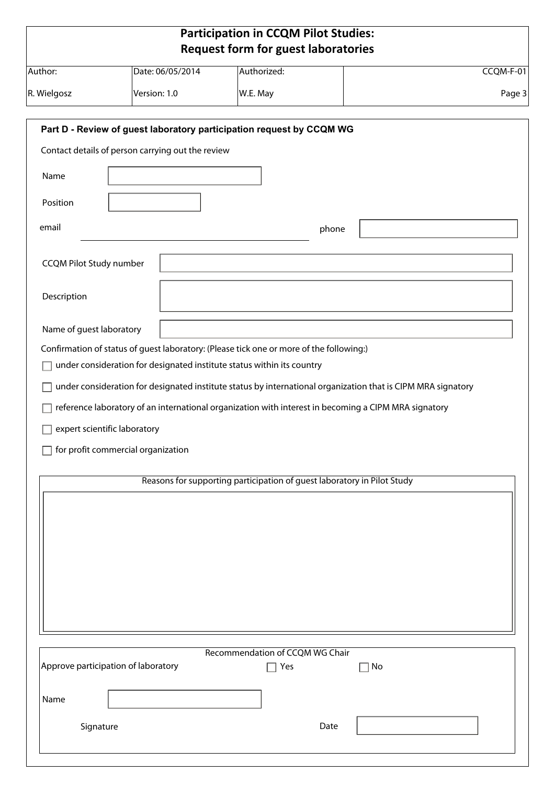|                                     |                                                                                                                           | <b>Participation in CCQM Pilot Studies:</b><br><b>Request form for guest laboratories</b> |       |                                                                                                              |
|-------------------------------------|---------------------------------------------------------------------------------------------------------------------------|-------------------------------------------------------------------------------------------|-------|--------------------------------------------------------------------------------------------------------------|
| Author:                             | Date: 06/05/2014                                                                                                          | Authorized:                                                                               |       | CCQM-F-01                                                                                                    |
| R. Wielgosz                         | Version: 1.0                                                                                                              | W.E. May                                                                                  |       | Page 3                                                                                                       |
|                                     | Part D - Review of guest laboratory participation request by CCQM WG<br>Contact details of person carrying out the review |                                                                                           |       |                                                                                                              |
| Name                                |                                                                                                                           |                                                                                           |       |                                                                                                              |
| Position                            |                                                                                                                           |                                                                                           |       |                                                                                                              |
| email                               |                                                                                                                           |                                                                                           | phone |                                                                                                              |
| <b>CCQM Pilot Study number</b>      |                                                                                                                           |                                                                                           |       |                                                                                                              |
| Description                         |                                                                                                                           |                                                                                           |       |                                                                                                              |
| Name of guest laboratory            |                                                                                                                           |                                                                                           |       |                                                                                                              |
|                                     | Confirmation of status of guest laboratory: (Please tick one or more of the following:)                                   |                                                                                           |       |                                                                                                              |
|                                     | under consideration for designated institute status within its country                                                    |                                                                                           |       |                                                                                                              |
|                                     |                                                                                                                           |                                                                                           |       | under consideration for designated institute status by international organization that is CIPM MRA signatory |
|                                     | reference laboratory of an international organization with interest in becoming a CIPM MRA signatory                      |                                                                                           |       |                                                                                                              |
| expert scientific laboratory        |                                                                                                                           |                                                                                           |       |                                                                                                              |
|                                     | for profit commercial organization                                                                                        |                                                                                           |       |                                                                                                              |
|                                     |                                                                                                                           |                                                                                           |       |                                                                                                              |
|                                     |                                                                                                                           | Reasons for supporting participation of guest laboratory in Pilot Study                   |       |                                                                                                              |
|                                     |                                                                                                                           |                                                                                           |       |                                                                                                              |
|                                     |                                                                                                                           |                                                                                           |       |                                                                                                              |
|                                     |                                                                                                                           |                                                                                           |       |                                                                                                              |
|                                     |                                                                                                                           |                                                                                           |       |                                                                                                              |
|                                     |                                                                                                                           |                                                                                           |       |                                                                                                              |
|                                     |                                                                                                                           |                                                                                           |       |                                                                                                              |
|                                     |                                                                                                                           |                                                                                           |       |                                                                                                              |
|                                     |                                                                                                                           |                                                                                           |       |                                                                                                              |
| Approve participation of laboratory |                                                                                                                           | Recommendation of CCQM WG Chair<br>Yes                                                    |       | ∣No                                                                                                          |
| Name                                |                                                                                                                           |                                                                                           |       |                                                                                                              |
|                                     |                                                                                                                           |                                                                                           |       |                                                                                                              |
| Signature                           |                                                                                                                           |                                                                                           | Date  |                                                                                                              |
|                                     |                                                                                                                           |                                                                                           |       |                                                                                                              |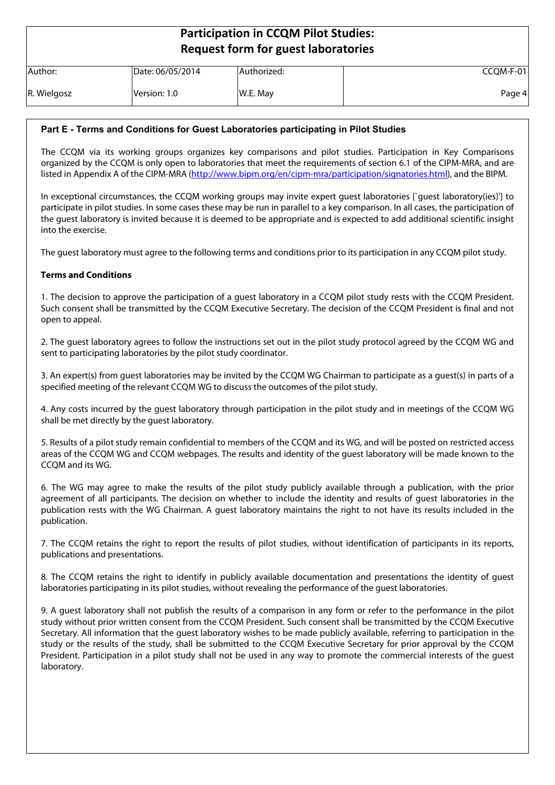# **Participation in CCQM Pilot Studies: Request form for guest laboratories**

| Author:     | Date: 06/05/2014 | Authorized: | $CCQM-F-01$ |
|-------------|------------------|-------------|-------------|
| R. Wielgosz | Version: 1.0     | W.E. May    | Page 4      |

### **Part E - Terms and Conditions for Guest Laboratories participating in Pilot Studies**

The CCQM via its working groups organizes key comparisons and pilot studies. Participation in Key Comparisons organized by the CCQM is only open to laboratories that meet the requirements of section 6.1 of the CIPM-MRA, and are listed in Appendix A of the CIPM-MRA [\(http://www.bipm.org/en/cipm-mra/participation/signatories.html](http://www.bipm.org/en/cipm-mra/participation/signatories.html)), and the BIPM.

In exceptional circumstances, the CCQM working groups may invite expert guest laboratories [`guest laboratory(ies)'] to participate in pilot studies. In some cases these may be run in parallel to a key comparison. In all cases, the participation of the guest laboratory is invited because it is deemed to be appropriate and is expected to add additional scientific insight into the exercise.

The guest laboratory must agree to the following terms and conditions prior to its participation in any CCQM pilot study.

#### **Terms and Conditions**

1. The decision to approve the participation of a guest laboratory in a CCQM pilot study rests with the CCQM President. Such consent shall be transmitted by the CCQM Executive Secretary. The decision of the CCQM President is final and not open to appeal.

2. The guest laboratory agrees to follow the instructions set out in the pilot study protocol agreed by the CCQM WG and sent to participating laboratories by the pilot study coordinator.

3. An expert(s) from guest laboratories may be invited by the CCQM WG Chairman to participate as a guest(s) in parts of a specified meeting of the relevant CCQM WG to discuss the outcomes of the pilot study.

4. Any costs incurred by the guest laboratory through participation in the pilot study and in meetings of the CCQM WG shall be met directly by the guest laboratory.

5. Results of a pilot study remain confidential to members of the CCQM and its WG, and will be posted on restricted access areas of the CCQM WG and CCQM webpages. The results and identity of the guest laboratory will be made known to the CCQM and its WG.

6. The WG may agree to make the results of the pilot study publicly available through a publication, with the prior agreement of all participants. The decision on whether to include the identity and results of guest laboratories in the publication rests with the WG Chairman. A guest laboratory maintains the right to not have its results included in the publication.

7. The CCQM retains the right to report the results of pilot studies, without identification of participants in its reports, publications and presentations.

8. The CCQM retains the right to identify in publicly available documentation and presentations the identity of guest laboratories participating in its pilot studies, without revealing the performance of the guest laboratories.

9. A guest laboratory shall not publish the results of a comparison in any form or refer to the performance in the pilot study without prior written consent from the CCQM President. Such consent shall be transmitted by the CCQM Executive Secretary. All information that the guest laboratory wishes to be made publicly available, referring to participation in the study or the results of the study, shall be submitted to the CCQM Executive Secretary for prior approval by the CCQM President. Participation in a pilot study shall not be used in any way to promote the commercial interests of the guest laboratory.